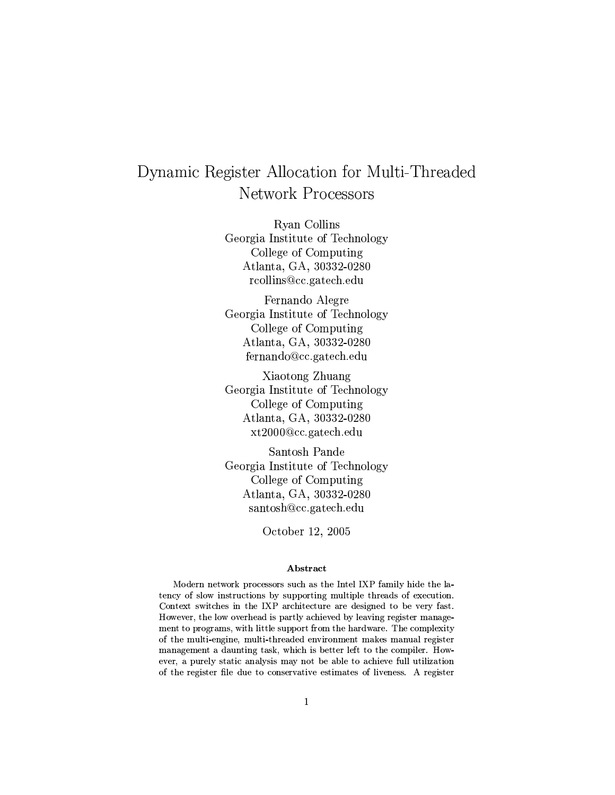# Dynamic Register Allocation for Multi-Threaded **Network Processors**

Rvan Collins Georgia Institute of Technology College of Computing Atlanta, GA, 30332-0280 rcollins@cc.gatech.edu

Fernando Alegre Georgia Institute of Technology College of Computing Atlanta, GA, 30332-0280 fernando@cc.gatech.edu

Xiaotong Zhuang Georgia Institute of Technology College of Computing Atlanta, GA, 30332-0280 xt2000@cc.gatech.edu

Santosh Pande Georgia Institute of Technology College of Computing Atlanta, GA, 30332-0280 santosh@cc.gatech.edu

October 12, 2005

# Abstract

Modern network processors such as the Intel IXP family hide the latency of slow instructions by supporting multiple threads of execution. Context switches in the IXP architecture are designed to be very fast. However, the low overhead is partly achieved by leaving register management to programs, with little support from the hardware. The complexity of the multi-engine, multi-threaded environment makes manual register management a daunting task, which is better left to the compiler. However, a purely static analysis may not be able to achieve full utilization of the register file due to conservative estimates of liveness. A register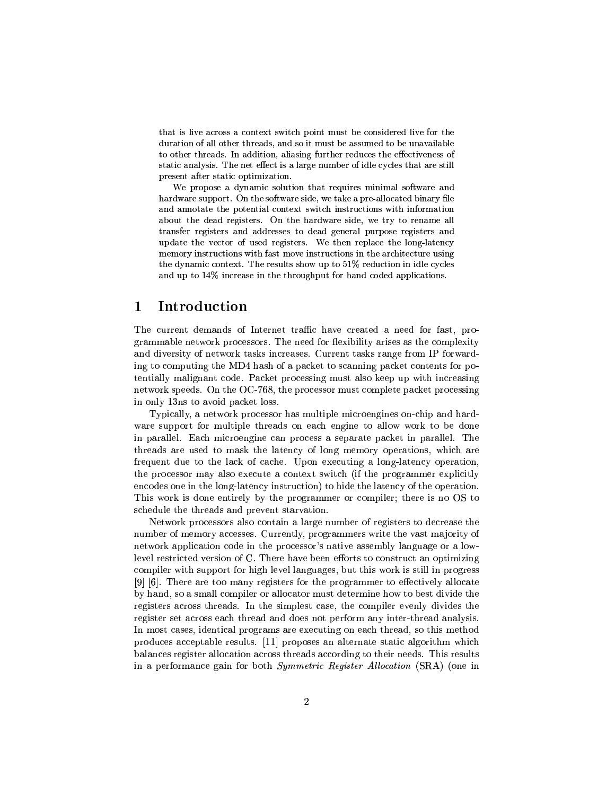that is live across a context switch point must be considered live for the duration of all other threads, and so it must be assumed to be unavailable to other threads. In addition, aliasing further reduces the effectiveness of static analysis. The net effect is a large number of idle cycles that are still present after static optimization.

We propose a dynamic solution that requires minimal software and hardware support. On the software side, we take a pre-allocated binary file and annotate the potential context switch instructions with information about the dead registers. On the hardware side, we try to rename all transfer registers and addresses to dead general purpose registers and update the vector of used registers. We then replace the long-latency memory instructions with fast move instructions in the architecture using the dynamic context. The results show up to 51% reduction in idle cycles and up to 14% increase in the throughput for hand coded applications.

#### Introduction 1

The current demands of Internet traffic have created a need for fast, programmable network processors. The need for flexibility arises as the complexity and diversity of network tasks increases. Current tasks range from IP forwarding to computing the MD4 hash of a packet to scanning packet contents for potentially malignant code. Packet processing must also keep up with increasing network speeds. On the OC-768, the processor must complete packet processing in only 13ns to avoid packet loss.

Typically, a network processor has multiple microengines on-chip and hardware support for multiple threads on each engine to allow work to be done in parallel. Each microengine can process a separate packet in parallel. The threads are used to mask the latency of long memory operations, which are frequent due to the lack of cache. Upon executing a long-latency operation, the processor may also execute a context switch (if the programmer explicitly encodes one in the long-latency instruction) to hide the latency of the operation. This work is done entirely by the programmer or compiler; there is no OS to schedule the threads and prevent starvation.

Network processors also contain a large number of registers to decrease the number of memory accesses. Currently, programmers write the vast majority of network application code in the processor's native assembly language or a lowlevel restricted version of C. There have been efforts to construct an optimizing compiler with support for high level languages, but this work is still in progress [9] [6]. There are too many registers for the programmer to effectively allocate by hand, so a small compiler or allocator must determine how to best divide the registers across threads. In the simplest case, the compiler evenly divides the register set across each thread and does not perform any inter-thread analysis. In most cases, identical programs are executing on each thread, so this method produces acceptable results. [11] proposes an alternate static algorithm which balances register allocation across threads according to their needs. This results in a performance gain for both *Symmetric Register Allocation* (SRA) (one in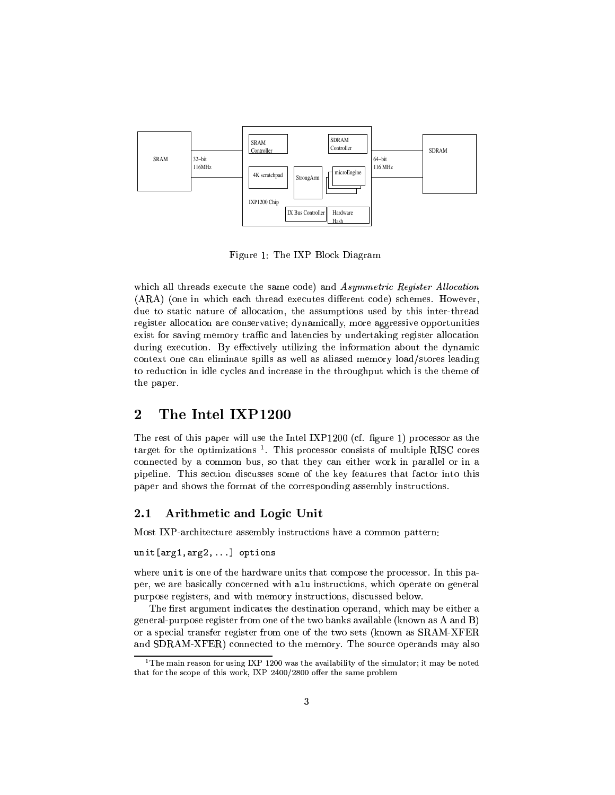

Figure 1: The IXP Block Diagram

which all threads execute the same code) and Asymmetric Register Allocation (ARA) (one in which each thread executes different code) schemes. However, due to static nature of allocation, the assumptions used by this inter-thread register allocation are conservative; dynamically, more aggressive opportunities exist for saving memory traffic and latencies by undertaking register allocation during execution. By effectively utilizing the information about the dynamic context one can eliminate spills as well as aliased memory load/stores leading to reduction in idle cycles and increase in the throughput which is the theme of the paper.

## $\overline{2}$ The Intel IXP1200

The rest of this paper will use the Intel IXP1200 (cf. figure 1) processor as the target for the optimizations  $<sup>1</sup>$ . This processor consists of multiple RISC cores</sup> connected by a common bus, so that they can either work in parallel or in a pipeline. This section discusses some of the key features that factor into this paper and shows the format of the corresponding assembly instructions.

#### 2.1 Arithmetic and Logic Unit

Most IXP-architecture assembly instructions have a common pattern:

# $unit[arg1, arg2,...]$  options

where unit is one of the hardware units that compose the processor. In this paper, we are basically concerned with alu instructions, which operate on general purpose registers, and with memory instructions, discussed below.

The first argument indicates the destination operand, which may be either a general-purpose register from one of the two banks available (known as A and B) or a special transfer register from one of the two sets (known as SRAM-XFER and SDRAM-XFER) connected to the memory. The source operands may also

 $^1$ The main reason for using IXP 1200 was the availability of the simulator; it may be noted that for the scope of this work, IXP 2400/2800 offer the same problem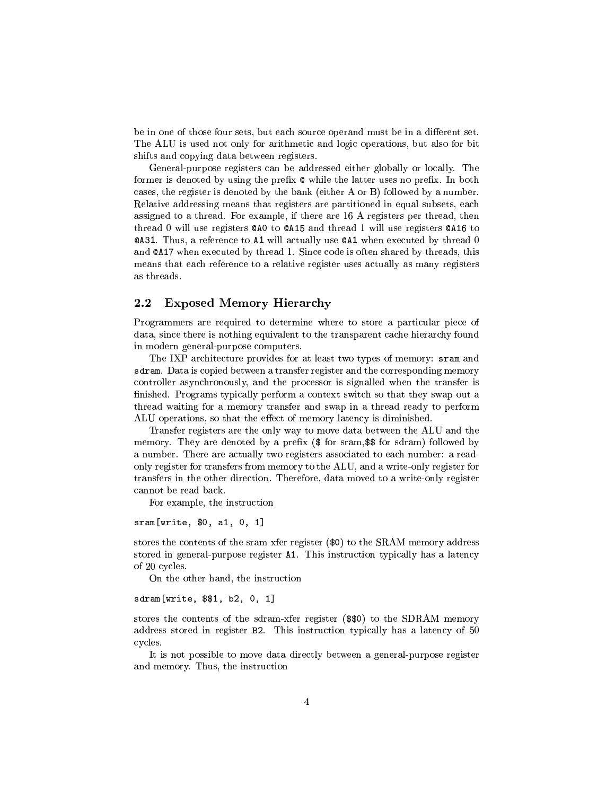be in one of those four sets, but each source operand must be in a different set. The ALU is used not only for arithmetic and logic operations, but also for bit shifts and copying data between registers.

General-purpose registers can be addressed either globally or locally. The former is denoted by using the prefix  $\&$  while the latter uses no prefix. In both cases, the register is denoted by the bank (either A or B) followed by a number. Relative addressing means that registers are partitioned in equal subsets, each assigned to a thread. For example, if there are 16 A registers per thread, then thread 0 will use registers CAO to CA15 and thread 1 will use registers CA16 to **@A31.** Thus, a reference to A1 will actually use **@A1** when executed by thread 0 and **QA17** when executed by thread 1. Since code is often shared by threads, this means that each reference to a relative register uses actually as many registers as threads.

#### 2.2 **Exposed Memory Hierarchy**

Programmers are required to determine where to store a particular piece of data, since there is nothing equivalent to the transparent cache hierarchy found in modern general-purpose computers.

The IXP architecture provides for at least two types of memory: sram and sdram. Data is copied between a transfer register and the corresponding memory controller asynchronously, and the processor is signalled when the transfer is finished. Programs typically perform a context switch so that they swap out a thread waiting for a memory transfer and swap in a thread ready to perform ALU operations, so that the effect of memory latency is diminished.

Transfer registers are the only way to move data between the ALU and the memory. They are denoted by a prefix (\$ for sram, \$\$ for sdram) followed by a number. There are actually two registers associated to each number: a readonly register for transfers from memory to the ALU, and a write-only register for transfers in the other direction. Therefore, data moved to a write-only register cannot be read back.

For example, the instruction

# sram[write, \$0, a1, 0, 1]

stores the contents of the sram-xfer register  $(\$0)$  to the SRAM memory address stored in general-purpose register A1. This instruction typically has a latency of 20 cycles.

On the other hand, the instruction

# sdram[write, \$\$1, b2, 0, 1]

stores the contents of the sdram-xfer register (\$\$0) to the SDRAM memory address stored in register B2. This instruction typically has a latency of 50 cycles.

It is not possible to move data directly between a general-purpose register and memory. Thus, the instruction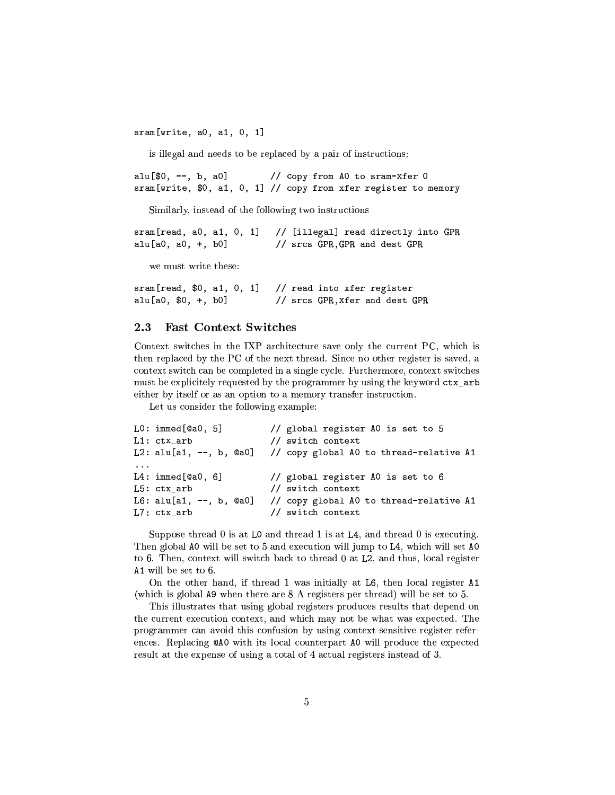$sram[write, a0, a1, 0, 1]$ 

is illegal and needs to be replaced by a pair of instructions:

 $allu$ [\$0, --, b, a0] // copy from AO to sram-xfer O sram[write, \$0, a1, 0, 1] // copy from xfer register to memory

Similarly, instead of the following two instructions

 $sram[read, a0, a1, 0, 1]$ // [illegal] read directly into GPR  $allu[a0, a0, +, b0]$ // srcs GPR, GPR and dest GPR

we must write these:

sram[read, \$0, a1, 0, 1] // read into xfer register  $allu[a0, $0, +, b0]$ // srcs GPR, xfer and dest GPR

#### 2.3 **Fast Context Switches**

Context switches in the IXP architecture save only the current PC, which is then replaced by the PC of the next thread. Since no other register is saved, a context switch can be completed in a single cycle. Furthermore, context switches must be explicitely requested by the programmer by using the keyword  $\texttt{ctx\_arb}$ either by itself or as an option to a memory transfer instruction.

Let us consider the following example:

```
LO: immed[QaO, 5]// global register AO is set to 5
L1: ctx_arb
                            // switch context
L2: alu[a1, --, b, Qa0]// copy global AO to thread-relative A1
\ldotsL4: \text{immed}[\texttt{Qa0}, 6]// global register AO is set to 6
L5: ctx_arb
                            // switch context
                            // copy global A0 to thread-relative A1
L6: \text{alu[a1, --, b, @a0]}L7:ctx\_arb// switch context
```
Suppose thread 0 is at L0 and thread 1 is at L4, and thread 0 is executing. Then global A0 will be set to 5 and execution will jump to L4, which will set A0 to 6. Then, context will switch back to thread 0 at L2, and thus, local register  $A1$  will be set to 6.

On the other hand, if thread 1 was initially at L6, then local register A1 (which is global A9 when there are 8 A registers per thread) will be set to 5.

This illustrates that using global registers produces results that depend on the current execution context, and which may not be what was expected. The programmer can avoid this confusion by using context-sensitive register references. Replacing CAO with its local counterpart AO will produce the expected result at the expense of using a total of 4 actual registers instead of 3.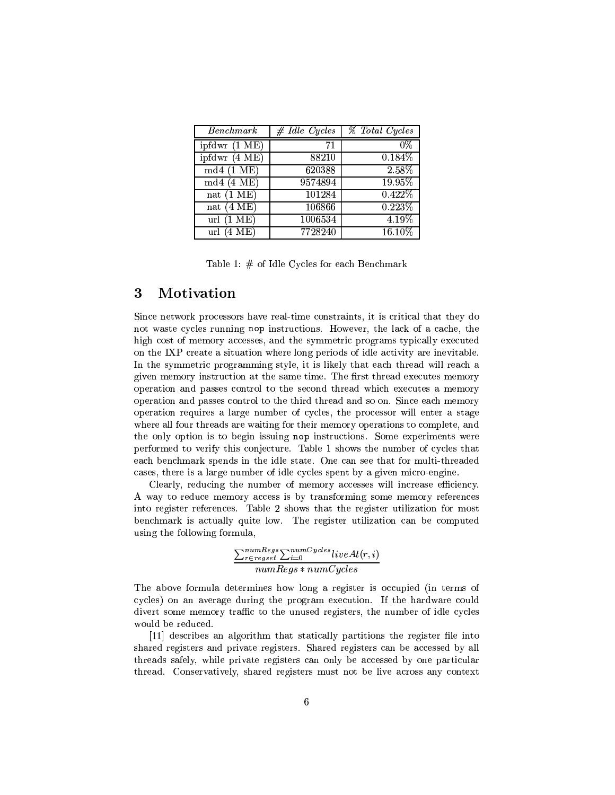| <b>Benchmark</b>                | $#$ Idle Cycles | % Total Cycles |
|---------------------------------|-----------------|----------------|
| ipfdwr(1 ME)                    | 71              | 0%             |
| ipfdwr(4 ME)                    | 88210           | 0.184%         |
| $md4(1 \text{ ME})$             | 620388          | 2.58%          |
| md4(4ME)                        | 9574894         | 19.95%         |
| nat $(\overline{1 \text{ ME}})$ | 101284          | 0.422\%        |
| nat $(4 \text{ ME})$            | 106866          | 0.223%         |
| url(1 ME)                       | 1006534         | $4.19\%$       |
| url $(4 \text{ ME})$            | 7728240         | 16.10%         |

Table 1:  $#$  of Idle Cycles for each Benchmark

#### 3 Motivation

Since network processors have real-time constraints, it is critical that they do not waste cycles running nop instructions. However, the lack of a cache, the high cost of memory accesses, and the symmetric programs typically executed on the IXP create a situation where long periods of idle activity are inevitable. In the symmetric programming style, it is likely that each thread will reach a given memory instruction at the same time. The first thread executes memory operation and passes control to the second thread which executes a memory operation and passes control to the third thread and so on. Since each memory operation requires a large number of cycles, the processor will enter a stage where all four threads are waiting for their memory operations to complete, and the only option is to begin issuing nop instructions. Some experiments were performed to verify this conjecture. Table 1 shows the number of cycles that each benchmark spends in the idle state. One can see that for multi-threaded cases, there is a large number of idle cycles spent by a given micro-engine.

Clearly, reducing the number of memory accesses will increase efficiency. A way to reduce memory access is by transforming some memory references into register references. Table 2 shows that the register utilization for most benchmark is actually quite low. The register utilization can be computed using the following formula,

$$
\frac{\sum_{r\in regset}^{numRegs}\sum_{i=0}^{numCycles}liveAt(r,i)}{numRegs*numCycles}
$$

The above formula determines how long a register is occupied (in terms of cycles) on an average during the program execution. If the hardware could divert some memory traffic to the unused registers, the number of idle cycles would be reduced.

[11] describes an algorithm that statically partitions the register file into shared registers and private registers. Shared registers can be accessed by all threads safely, while private registers can only be accessed by one particular thread. Conservatively, shared registers must not be live across any context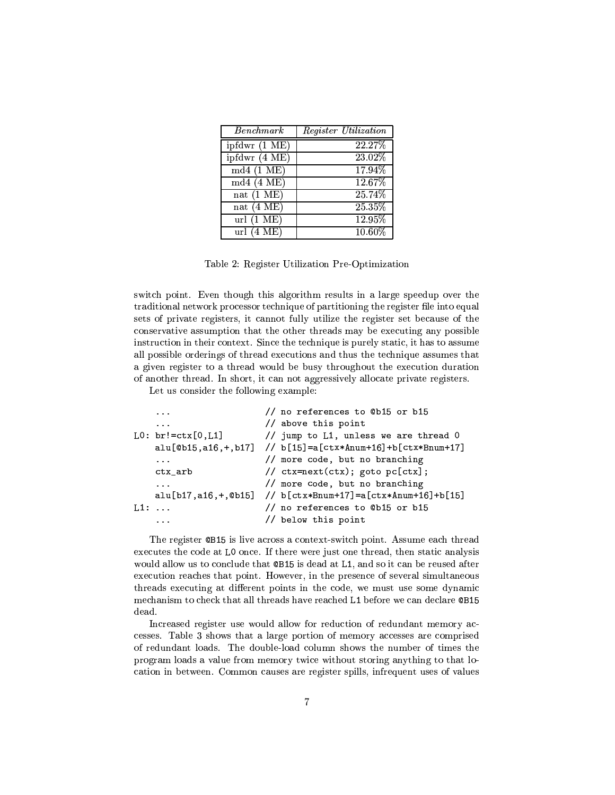| Benchmark               | <i>Register Utilization</i> |
|-------------------------|-----------------------------|
| ipfdwr $(1 \text{ ME})$ | 22.27%                      |
| ipfdwr (4 ME)           | 23.02%                      |
| md4(1 ME)               | 17.94%                      |
| md4(4ME)                | 12.67%                      |
| nat $(1 \text{ ME})$    | 25.74%                      |
| nat $(4 \text{ ME})$    | 25.35%                      |
| url $(1 \overline{ME})$ | 12.95%                      |
| url $(4 \text{ ME})$    | 10.60%                      |

Table 2: Register Utilization Pre-Optimization

switch point. Even though this algorithm results in a large speedup over the traditional network processor technique of partitioning the register file into equal sets of private registers, it cannot fully utilize the register set because of the conservative assumption that the other threads may be executing any possible instruction in their context. Since the technique is purely static, it has to assume all possible orderings of thread executions and thus the technique assumes that a given register to a thread would be busy throughout the execution duration of another thread. In short, it can not aggressively allocate private registers.

Let us consider the following example:

```
// no references to @b15 or b15
    \ddotsc// above this point
    \sim \sim \simLO: br!=ctx[0, L1]// jump to L1, unless we are thread 0
    alu[@b15, a16, +, b17] // b[15] = a[ctx*Anum+16] + b[ctx*Bnum+17]// more code, but no branching
    \cdots// ctx = next(ctx); goto pc[ctx];ctx arb
                           // more code, but no branching
    \sim 100alu[b17,a16,+,@b15] // b[ctx*Bnum+17]=a[ctx*Anum+16]+b[15]
L1: ...// no references to @b15 or b15
                           // below this point
    \ldots
```
The register CB15 is live across a context-switch point. Assume each thread executes the code at L0 once. If there were just one thread, then static analysis would allow us to conclude that @B15 is dead at L1, and so it can be reused after execution reaches that point. However, in the presence of several simultaneous threads executing at different points in the code, we must use some dynamic mechanism to check that all threads have reached L1 before we can declare @B15 dead.

Increased register use would allow for reduction of redundant memory accesses. Table 3 shows that a large portion of memory accesses are comprised of redundant loads. The double-load column shows the number of times the program loads a value from memory twice without storing anything to that location in between. Common causes are register spills, infrequent uses of values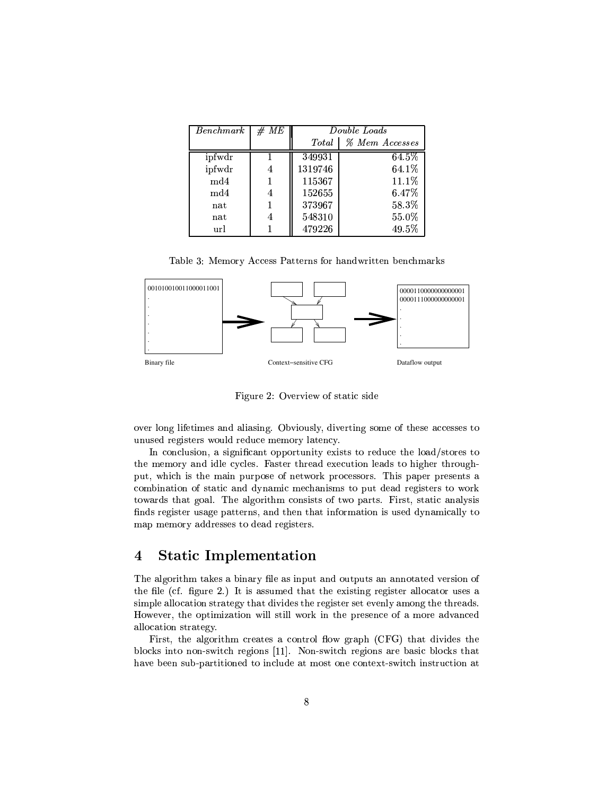| <i>Benchmark</i> | #ME | Double Loads |                |  |
|------------------|-----|--------------|----------------|--|
|                  |     | Total        | % Mem Accesses |  |
| ipfwdr           |     | 349931       | 64.5%          |  |
| ipfwdr           | 4   | 1319746      | 64.1%          |  |
| md4              |     | 115367       | 11.1%          |  |
| md4              | 4   | 152655       | 6.47%          |  |
| $_{\rm nat}$     |     | 373967       | 58.3%          |  |
| nat              | 4   | 548310       | 55.0%          |  |
| url              |     | 479226       | 49.5%          |  |

Table 3: Memory Access Patterns for handwritten benchmarks



Figure 2: Overview of static side

over long lifetimes and aliasing. Obviously, diverting some of these accesses to unused registers would reduce memory latency.

In conclusion, a significant opportunity exists to reduce the load/stores to the memory and idle cycles. Faster thread execution leads to higher throughput, which is the main purpose of network processors. This paper presents a combination of static and dynamic mechanisms to put dead registers to work towards that goal. The algorithm consists of two parts. First, static analysis finds register usage patterns, and then that information is used dynamically to map memory addresses to dead registers.

## **Static Implementation**  $\overline{\mathbf{4}}$

The algorithm takes a binary file as input and outputs an annotated version of the file (cf. figure 2.) It is assumed that the existing register allocator uses a simple allocation strategy that divides the register set evenly among the threads. However, the optimization will still work in the presence of a more advanced allocation strategy.

First, the algorithm creates a control flow graph (CFG) that divides the blocks into non-switch regions [11]. Non-switch regions are basic blocks that have been sub-partitioned to include at most one context-switch instruction at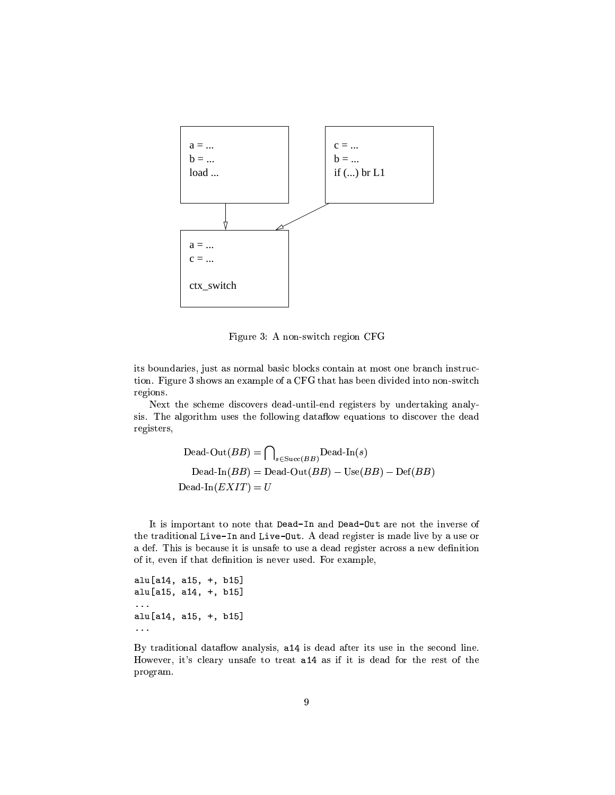

Figure 3: A non-switch region CFG

its boundaries, just as normal basic blocks contain at most one branch instruction. Figure 3 shows an example of a CFG that has been divided into non-switch regions.

Next the scheme discovers dead-until-end registers by undertaking analysis. The algorithm uses the following dataflow equations to discover the dead registers,

$$
Dead-Out(BB) = \bigcap_{s \in Succ(BB)} Dead-In(s)
$$
  
Dead-In(BB) = Dead-Out(BB) - Use(BB) - Def(BB)  
Dead-In(EXIT) = U

It is important to note that Dead-In and Dead-Out are not the inverse of the traditional Live-In and Live-Out. A dead register is made live by a use or a def. This is because it is unsafe to use a dead register across a new definition of it, even if that definition is never used. For example,

alu[a14, a15, +, b15] alu[a15, a14, +, b15]  $\Box$  . alu[a14, a15, +, b15]  $\ddotsc$ 

By traditional dataflow analysis, a14 is dead after its use in the second line. However, it's cleary unsafe to treat a14 as if it is dead for the rest of the program.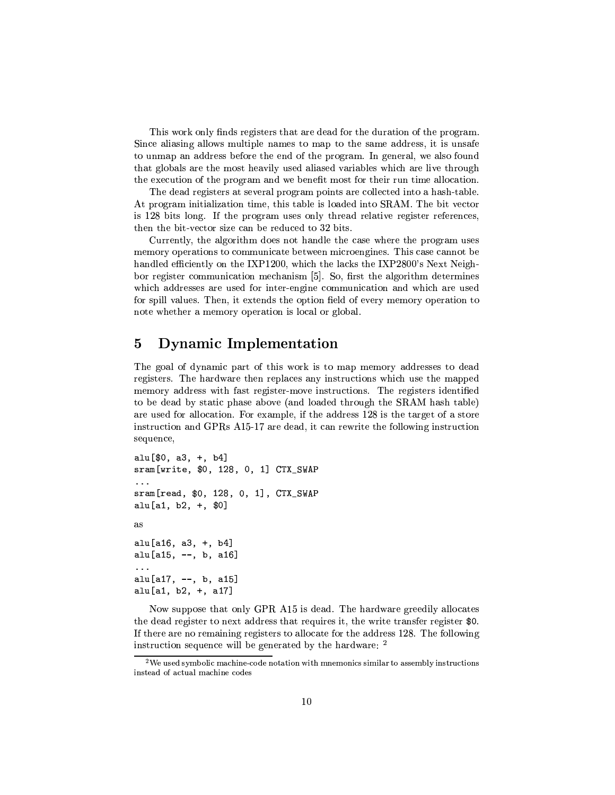This work only finds registers that are dead for the duration of the program. Since aliasing allows multiple names to map to the same address, it is unsafe to unmap an address before the end of the program. In general, we also found that globals are the most heavily used aliased variables which are live through the execution of the program and we benefit most for their run time allocation.

The dead registers at several program points are collected into a hash-table. At program initialization time, this table is loaded into SRAM. The bit vector is 128 bits long. If the program uses only thread relative register references, then the bit-vector size can be reduced to 32 bits.

Currently, the algorithm does not handle the case where the program uses memory operations to communicate between microengines. This case cannot be handled efficiently on the IXP1200, which the lacks the IXP2800's Next Neighbor register communication mechanism [5]. So, first the algorithm determines which addresses are used for inter-engine communication and which are used for spill values. Then, it extends the option field of every memory operation to note whether a memory operation is local or global.

## $\overline{5}$ Dynamic Implementation

The goal of dynamic part of this work is to map memory addresses to dead registers. The hardware then replaces any instructions which use the mapped memory address with fast register-move instructions. The registers identified to be dead by static phase above (and loaded through the SRAM hash table) are used for allocation. For example, if the address 128 is the target of a store instruction and GPRs A15-17 are dead, it can rewrite the following instruction sequence,

```
alu[$0, a3, +, b4]sram[write, $0, 128, 0, 1] CTX_SWAP
\sim .
sram[read, $0, 128, 0, 1], CTX_SWAP
alu[a1, b2, +, $0]as
alu[a16, a3, +, b4]
alu[a15, --, b, a16]
\sim 100alu[a17, --, b, a15]
alu[a1, b2, +, a17]
```
Now suppose that only GPR A15 is dead. The hardware greedily allocates the dead register to next address that requires it, the write transfer register \$0. If there are no remaining registers to allocate for the address 128. The following instruction sequence will be generated by the hardware: <sup>2</sup>

 $^2$ We used symbolic machine-code notation with mnemonics similar to assembly instructions instead of actual machine codes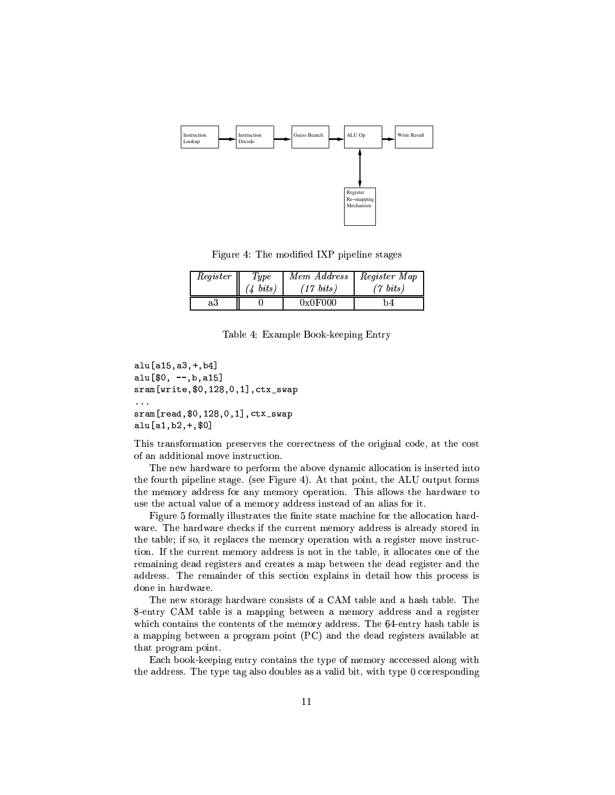

Figure 4: The modified IXP pipeline stages

| Register | Type           | Mem Address | Register Map   |
|----------|----------------|-------------|----------------|
|          | $\Delta$ bits) | (17~bits)   | $\gamma$ bits) |
| a3       |                | 0x0F000     | 74             |

Table 4: Example Book-keeping Entry

```
alu[a15, a3, +, b4]allu[$0, --,b,a15]
sram[write, $0, 128, 0, 1], ctx_swap
sram[read, $0, 128, 0, 1], ctx_swap
alu[a1, b2, +, $0]
```
This transformation preserves the correctness of the original code, at the cost of an additional move instruction.

The new hardware to perform the above dynamic allocation is inserted into the fourth pipeline stage. (see Figure 4). At that point, the ALU output forms the memory address for any memory operation. This allows the hardware to use the actual value of a memory address instead of an alias for it.

Figure 5 formally illustrates the finite state machine for the allocation hardware. The hardware checks if the current memory address is already stored in the table; if so, it replaces the memory operation with a register move instruction. If the current memory address is not in the table, it allocates one of the remaining dead registers and creates a map between the dead register and the address. The remainder of this section explains in detail how this process is done in hardware.

The new storage hardware consists of a CAM table and a hash table. The 8-entry CAM table is a mapping between a memory address and a register which contains the contents of the memory address. The 64-entry hash table is a mapping between a program point (PC) and the dead registers available at that program point.

Each book-keeping entry contains the type of memory accessed along with the address. The type tag also doubles as a valid bit, with type 0 corresponding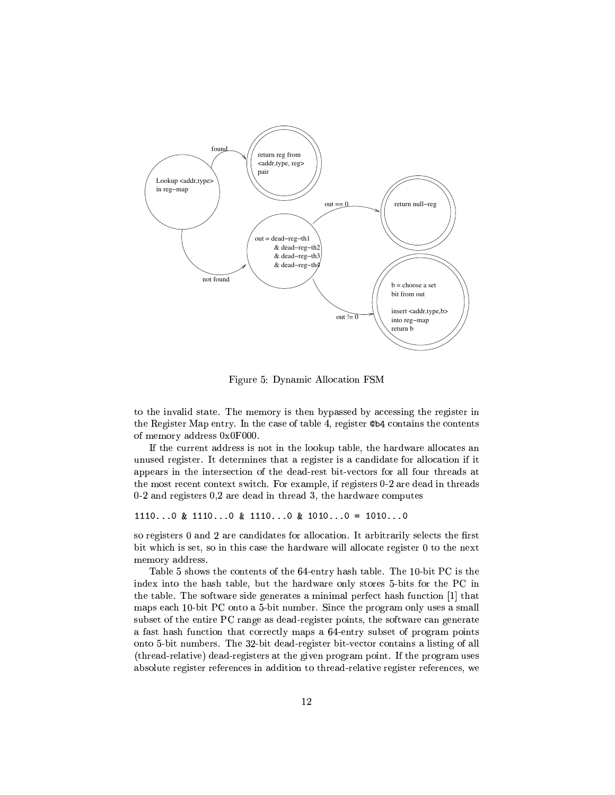

Figure 5: Dynamic Allocation FSM

to the invalid state. The memory is then bypassed by accessing the register in the Register Map entry. In the case of table 4, register @b4 contains the contents of memory address 0x0F000.

If the current address is not in the lookup table, the hardware allocates an unused register. It determines that a register is a candidate for allocation if it appears in the intersection of the dead-rest bit-vectors for all four threads at the most recent context switch. For example, if registers 0-2 are dead in threads  $0-2$  and registers  $0,2$  are dead in thread 3, the hardware computes

1110...0 & 1110...0 & 1110...0 & 1010...0 = 1010...0

so registers 0 and 2 are candidates for allocation. It arbitrarily selects the first bit which is set, so in this case the hardware will allocate register 0 to the next memory address.

Table 5 shows the contents of the 64-entry hash table. The 10-bit PC is the index into the hash table, but the hardware only stores 5-bits for the PC in the table. The software side generates a minimal perfect hash function [1] that maps each 10-bit PC onto a 5-bit number. Since the program only uses a small subset of the entire PC range as dead-register points, the software can generate a fast hash function that correctly maps a 64-entry subset of program points onto 5-bit numbers. The 32-bit dead-register bit-vector contains a listing of all (thread-relative) dead-registers at the given program point. If the program uses absolute register references in addition to thread-relative register references, we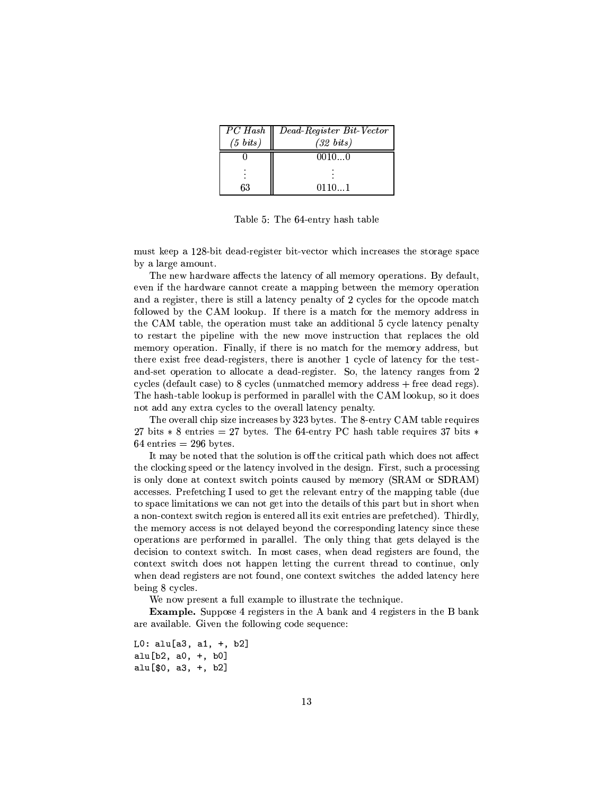|          | PC Hash    Dead-Register Bit-Vector |
|----------|-------------------------------------|
| (5~bits) | (32~bits)                           |
|          | 0010…0                              |
|          |                                     |
| 63       | 01101                               |

Table 5: The 64-entry hash table

must keep a 128-bit dead-register bit-vector which increases the storage space by a large amount.

The new hardware affects the latency of all memory operations. By default, even if the hardware cannot create a mapping between the memory operation and a register, there is still a latency penalty of 2 cycles for the opcode match followed by the CAM lookup. If there is a match for the memory address in the CAM table, the operation must take an additional 5 cycle latency penalty to restart the pipeline with the new move instruction that replaces the old memory operation. Finally, if there is no match for the memory address, but there exist free dead-registers, there is another 1 cycle of latency for the testand-set operation to allocate a dead-register. So, the latency ranges from 2 cycles (default case) to 8 cycles (unmatched memory address  $+$  free dead regs). The hash-table lookup is performed in parallel with the CAM lookup, so it does not add any extra cycles to the overall latency penalty.

The overall chip size increases by 323 bytes. The 8-entry CAM table requires 27 bits  $* 8$  entries = 27 bytes. The 64-entry PC hash table requires 37 bits  $*$  $64$  entries = 296 bytes.

It may be noted that the solution is off the critical path which does not affect the clocking speed or the latency involved in the design. First, such a processing is only done at context switch points caused by memory (SRAM or SDRAM) accesses. Prefetching I used to get the relevant entry of the mapping table (due to space limitations we can not get into the details of this part but in short when a non-context switch region is entered all its exit entries are prefetched). Thirdly, the memory access is not delayed beyond the corresponding latency since these operations are performed in parallel. The only thing that gets delayed is the decision to context switch. In most cases, when dead registers are found, the context switch does not happen letting the current thread to continue, only when dead registers are not found, one context switches the added latency here being 8 cycles.

We now present a full example to illustrate the technique.

**Example.** Suppose 4 registers in the A bank and 4 registers in the B bank are available. Given the following code sequence:

```
L0: alu[a3, a1, +, b2]alu[b2, a0, +, b0]
alu[$0, a3, +, b2]
```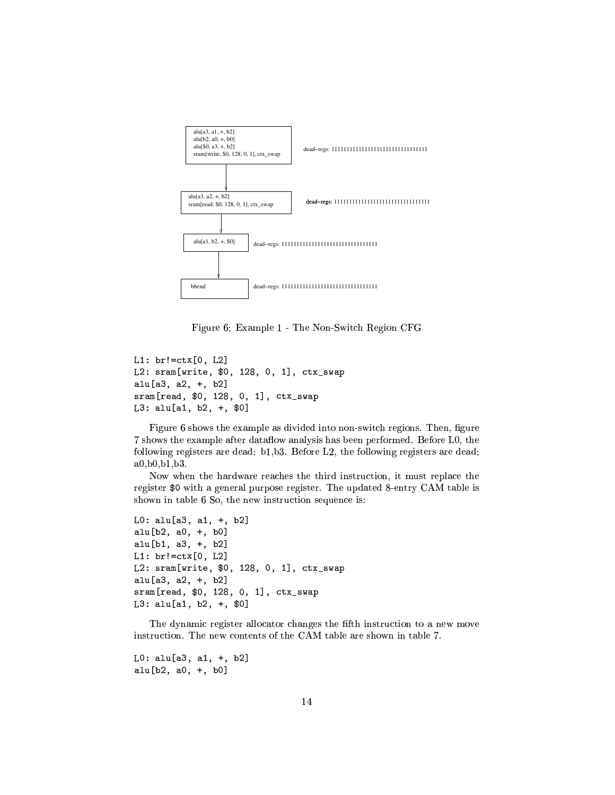

Figure 6: Example 1 - The Non-Switch Region CFG

```
L1: br!=\text{ctx}[0, L2]L2: sram[write, $0, 128, 0, 1], ctx_swap
alu[a3, a2, +, b2]sram[read, $0, 128, 0, 1], ctx_swap
L3: alu[a1, b2, +, $0]
```
Figure 6 shows the example as divided into non-switch regions. Then, figure 7 shows the example after dataflow analysis has been performed. Before L0, the following registers are dead: b1,b3. Before L2, the following registers are dead: a0,b0,b1,b3.

Now when the hardware reaches the third instruction, it must replace the register \$0 with a general purpose register. The updated 8-entry CAM table is shown in table 6 So, the new instruction sequence is:

```
L0: alu[a3, a1, +, b2]
alu[b2, a0, +, b0]alu[b1, a3, +, b2]
L1: br!=\text{ctx}[0, L2]L2: sram[write, $0, 128, 0, 1], ctx_swap
alu[a3, a2, +, b2]
sram[read, $0, 128, 0, 1], ctx_swap
L3: alu[a1, b2, +, $0]
```
The dynamic register allocator changes the fifth instruction to a new move instruction. The new contents of the CAM table are shown in table 7.

```
L0: alu[a3, a1, +, b2]alu[b2, a0, +, b0]
```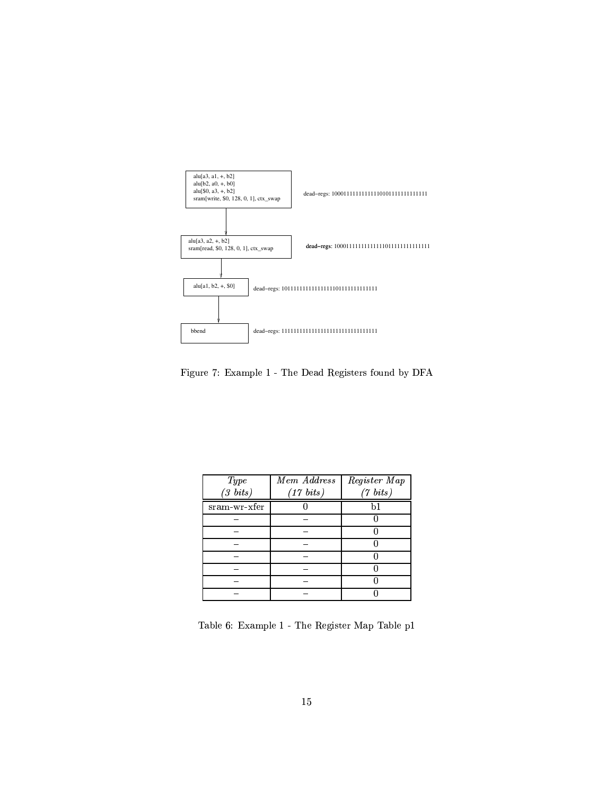

Figure 7: Example 1 - The Dead Registers found by DFA

| Type          | <b>Mem</b> Address | Register Map |
|---------------|--------------------|--------------|
| $(3 \; bits)$ | (17~bits)          | (7~bits)     |
| sram-wr-xfer  |                    | b1           |
|               |                    |              |
|               |                    |              |
|               |                    |              |
|               |                    |              |
|               |                    |              |
|               |                    |              |
|               |                    |              |

Table 6: Example  $1$  - The Register Map Table  $\operatorname{p1}$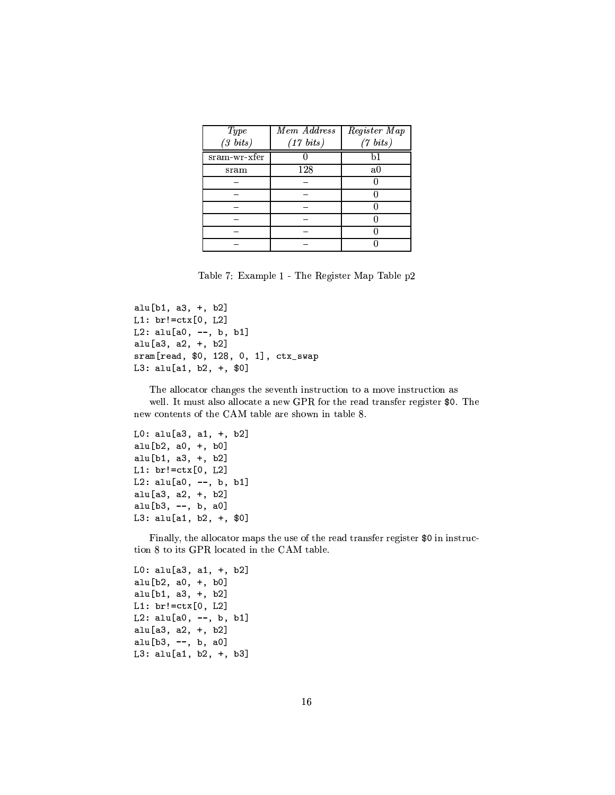| <i>Type</i>   | Mem Address | Register Map |
|---------------|-------------|--------------|
| $(3 \; bits)$ | (17~bits)   | (7~bits)     |
| sram-wr-xfer  |             | h1           |
| $_{\rm sram}$ | 128         | a0           |
|               |             |              |
|               |             |              |
|               |             |              |
|               |             |              |
|               |             |              |
|               |             |              |

Table 7: Example 1 - The Register Map Table p2

```
alu[b1, a3, +, b2]
L1: br!=ctx[0, L2]L2: alu[a0, --, b, b1]alu[a3, a2, +, b2]
sram[read, $0, 128, 0, 1], ctx_swap
L3: alu[a1, b2, +, $0]
```
The allocator changes the seventh instruction to a move instruction as well. It must also allocate a new GPR for the read transfer register \$0. The new contents of the CAM table are shown in table 8.

```
L0: alu[a3, a1, +, b2]
alu[b2, a0, +, b0]
alu[b1, a3, +, b2]
L1: br!=ctx[0, L2]L2: alu[a0, --, b, b1]alu[a3, a2, +, b2]
alu[b3, --, b, a0]L3: alu[a1, b2, +, $0]
```
Finally, the allocator maps the use of the read transfer register \$0 in instruction 8 to its GPR located in the CAM table.

```
L0: alu[a3, a1, +, b2]
alu[b2, a0, +, b0]
alu[b1, a3, +, b2]
L1: br!=\text{ctx}[0, L2]L2: alu[a0, --, b, b1]alu[a3, a2, +, b2]
alu[b3, --, b, a0]
L3: alu[a1, b2, +, b3]
```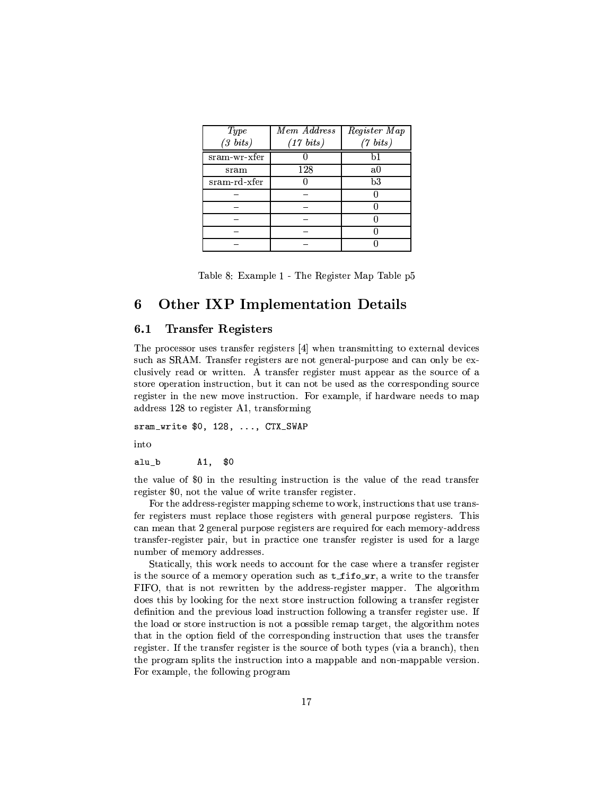| Type            | Mem Address | Register Map |
|-----------------|-------------|--------------|
| $(3 \; bits)$   | (17~bits)   | (7~bits)     |
| $s$ ram-wr-xfer |             | b1           |
| sram            | 128         | a0           |
| sram-rd-xfer    |             | b3           |
|                 |             |              |
|                 |             |              |
|                 |             |              |
|                 |             |              |
|                 |             |              |

|  |  | Table 8: Example 1 - The Register Map Table p5 |  |  |  |  |  |  |
|--|--|------------------------------------------------|--|--|--|--|--|--|
|--|--|------------------------------------------------|--|--|--|--|--|--|

## **Other IXP Implementation Details** 6

#### **Transfer Registers**  $6.1$

The processor uses transfer registers [4] when transmitting to external devices such as SRAM. Transfer registers are not general-purpose and can only be exclusively read or written. A transfer register must appear as the source of a store operation instruction, but it can not be used as the corresponding source register in the new move instruction. For example, if hardware needs to map address 128 to register A1, transforming

sram\_write \$0, 128, ..., CTX\_SWAP

into

alu\_b  $A1,$  $$0$ 

the value of \$0 in the resulting instruction is the value of the read transfer register \$0, not the value of write transfer register.

For the address-register mapping scheme to work, instructions that use transfer registers must replace those registers with general purpose registers. This can mean that 2 general purpose registers are required for each memory-address transfer-register pair, but in practice one transfer register is used for a large number of memory addresses.

Statically, this work needs to account for the case where a transfer register is the source of a memory operation such as  $t$ \_fifo\_wr, a write to the transfer FIFO, that is not rewritten by the address-register mapper. The algorithm does this by looking for the next store instruction following a transfer register definition and the previous load instruction following a transfer register use. If the load or store instruction is not a possible remap target, the algorithm notes that in the option field of the corresponding instruction that uses the transfer register. If the transfer register is the source of both types (via a branch), then the program splits the instruction into a mappable and non-mappable version. For example, the following program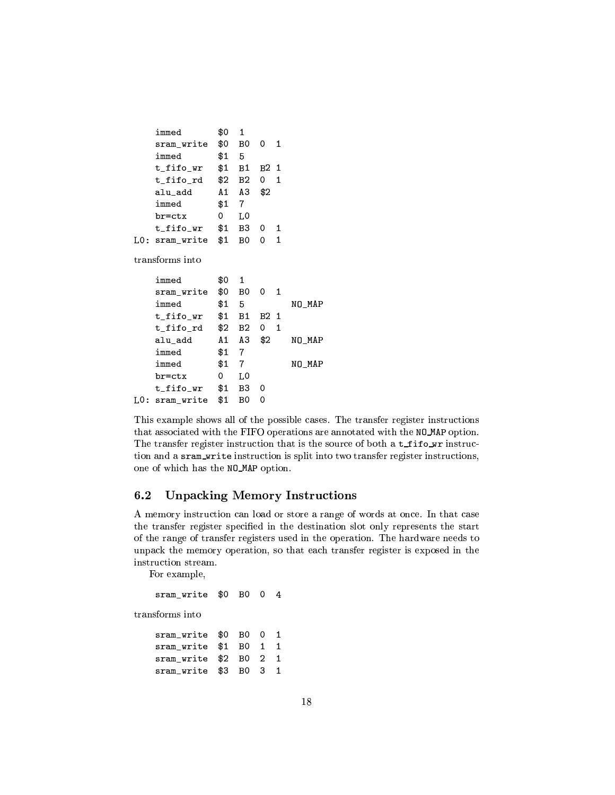| immed      | \$0 | 1              |      |   |
|------------|-----|----------------|------|---|
| sram write | \$0 | B0             | 0    | 1 |
| immed      | \$1 | 5              |      |   |
| t fifo wr  | \$1 | B1             | B2 1 |   |
| t fifo rd  | \$2 | B <sub>2</sub> | 0    | 1 |
| alu add    | A 1 | А3             | \$2  |   |
| immed      | \$1 | 7              |      |   |
| br=ctx     | 0   | LΟ             |      |   |
| t fifo wr  | \$1 | B3             | 0    | 1 |
| sram_write | \$1 | RΛ             | Ω    | 1 |

transforms into

|      | immed      | \$0 | 1  |                     |        |
|------|------------|-----|----|---------------------|--------|
|      | sram write | \$0 | B0 | 0<br>$\blacksquare$ |        |
|      | immed      | \$1 | 5  |                     | NO MAP |
|      | t fifo wr  | \$1 | Β1 | B <sub>2</sub> 1    |        |
|      | t fifo rd  | \$2 | Β2 | 1<br>0              |        |
|      | alu add    | A 1 | A3 | \$2                 | NO MAP |
|      | immed      | \$1 | 7  |                     |        |
|      | immed      | \$1 | 7  |                     | NO MAP |
|      | br=ctx     | 0   | L0 |                     |        |
|      | t fifo wr  | \$1 | B3 | 0                   |        |
| LO : | sram_write | \$1 | B٥ | 0                   |        |

This example shows all of the possible cases. The transfer register instructions that associated with the FIFO operations are annotated with the NO\_MAP option. The transfer register instruction that is the source of both a t\_fifo\_wr instruction and a sram\_write instruction is split into two transfer register instructions, one of which has the NO\_MAP option.

## **Unpacking Memory Instructions** 6.2

A memory instruction can load or store a range of words at once. In that case the transfer register specified in the destination slot only represents the start of the range of transfer registers used in the operation. The hardware needs to unpack the memory operation, so that each transfer register is exposed in the instruction stream.

For example,

```
sram_write $0 B0 0 4
transforms into
                    \ddot{\phantom{a}}\ddot{a}\overline{a}
```

| sram write \$0 B0 0 1 |  |  |
|-----------------------|--|--|
| sram write \$1 B0 1 1 |  |  |
| sram write \$2 B0 2 1 |  |  |
| sram_write \$3 B0 3 1 |  |  |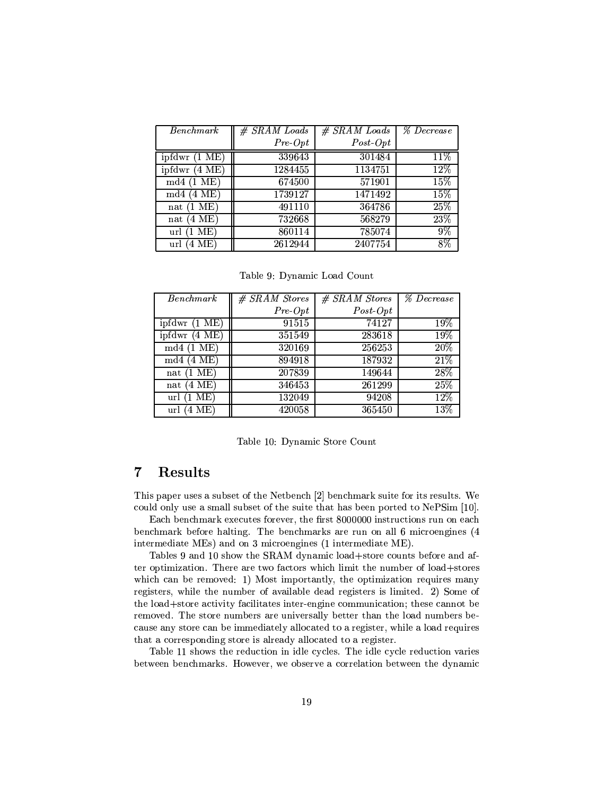| <b>Benchmark</b>        | $#$ SRAM Loads | $#$ SRAM Loads | % Decrease |
|-------------------------|----------------|----------------|------------|
|                         | $Pre-Opt$      | $Post-Opt$     |            |
| ipfdwr (1 ME)           | 339643         | 301484         | 11%        |
| ipfdwr $(4 \text{ ME})$ | 1284455        | 1134751        | 12%        |
| [1 ME]<br>md4           | 674500         | 571901         | 15%        |
| '4 ME)<br>md4           | 1739127        | 1471492        | 15%        |
| (1 ME)<br>nat           | 491110         | 364786         | 25%        |
| (4 ME)<br>nat           | 732668         | 568279         | 23%        |
| (1 ME)<br>url           | 860114         | 785074         | $9\%$      |
| 4 ME)<br>url            | 2612944        | 2407754        | $8\%$      |

Table 9: Dynamic Load Count

| <b>Benchmark</b>               | $#$ SRAM Stores | $#$ SRAM Stores | <b>% Decrease</b> |
|--------------------------------|-----------------|-----------------|-------------------|
|                                | $Pre-Opt$       | $Post-Opt$      |                   |
| ipfdwr (1 ME)                  | 91515           | 74127           | 19%               |
| ipfdwr $(4 \overline{ME})$     | 351549          | 283618          | 19%               |
| $(1 \text{ ME})$<br>$\rm{md}4$ | 320169          | 256253          | 20%               |
| $(4 \text{ ME})$<br>$\rm md4$  | 894918          | 187932          | 21%               |
| $(1 \text{ ME})$<br>nat        | 207839          | 149644          | 28%               |
| '4 ME)<br>nat                  | 346453          | 261299          | 25%               |
| $(1~\mathrm{ME})$<br>url       | 132049          | 94208           | 12%               |
| 4 ME<br>url                    | 420058          | 365450          | $13\%$            |

Table 10: Dynamic Store Count

## **Results**  $\overline{7}$

This paper uses a subset of the Netbench [2] benchmark suite for its results. We could only use a small subset of the suite that has been ported to NePSim [10].

Each benchmark executes forever, the first 8000000 instructions run on each benchmark before halting. The benchmarks are run on all 6 microengines (4 intermediate MEs) and on 3 microengines (1 intermediate ME).

Tables 9 and 10 show the SRAM dynamic load+store counts before and after optimization. There are two factors which limit the number of load+stores which can be removed: 1) Most importantly, the optimization requires many registers, while the number of available dead registers is limited. 2) Some of the load+store activity facilitates inter-engine communication; these cannot be removed. The store numbers are universally better than the load numbers because any store can be immediately allocated to a register, while a load requires that a corresponding store is already allocated to a register.

Table 11 shows the reduction in idle cycles. The idle cycle reduction varies between benchmarks. However, we observe a correlation between the dynamic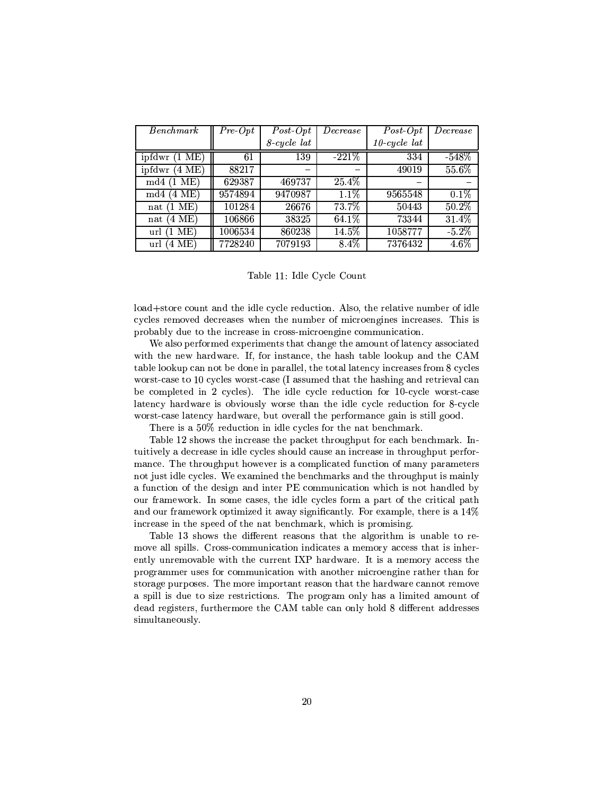| <b>Benchmark</b>           | $Pre-Opt$ | $Post-Opt$     | $\it Decrease$ | $Post-Opt$      | $\mathit{Decrease}$ |
|----------------------------|-----------|----------------|----------------|-----------------|---------------------|
|                            |           | $8$ -cycle lat |                | $10$ -cycle lat |                     |
| ipfdwr<br>$(1 \text{ ME})$ | 61        | 139            | $-221%$        | 334             | $-548%$             |
| ipfdwr<br>'4 ME)           | 88217     |                |                | 49019           | 55.6%               |
| ME)<br>md4                 | 629387    | 469737         | 25.4%          |                 |                     |
| $(4 \text{ ME})$<br>md4    | 9574894   | 9470987        | 1.1%           | 9565548         | 0.1%                |
| ME)<br>$\mathbf{1}$<br>nat | 101284    | 26676          | 73.7%          | 50443           | 50.2%               |
| 4 ME)<br>nat               | 106866    | 38325          | 64.1%          | 73344           | 31.4%               |
| ME)<br>url                 | 1006534   | 860238         | 14.5%          | 1058777         | $-5.2\%$            |
| '4 ME)<br>url              | 7728240   | 7079193        | 8.4%           | 7376432         | $4.6\%$             |

# Table 11: Idle Cycle Count

load+store count and the idle cycle reduction. Also, the relative number of idle cycles removed decreases when the number of microengines increases. This is probably due to the increase in cross-microengine communication.

We also performed experiments that change the amount of latency associated with the new hardware. If, for instance, the hash table lookup and the CAM table lookup can not be done in parallel, the total latency increases from 8 cycles worst-case to 10 cycles worst-case (I assumed that the hashing and retrieval can be completed in 2 cycles). The idle cycle reduction for 10-cycle worst-case latency hardware is obviously worse than the idle cycle reduction for 8-cycle worst-case latency hardware, but overall the performance gain is still good.

There is a 50% reduction in idle cycles for the nat benchmark.

Table 12 shows the increase the packet throughput for each benchmark. Intuitively a decrease in idle cycles should cause an increase in throughput performance. The throughput however is a complicated function of many parameters not just idle cycles. We examined the benchmarks and the throughput is mainly a function of the design and inter PE communication which is not handled by our framework. In some cases, the idle cycles form a part of the critical path and our framework optimized it away significantly. For example, there is a 14% increase in the speed of the nat benchmark, which is promising.

Table 13 shows the different reasons that the algorithm is unable to remove all spills. Cross-communication indicates a memory access that is inherently unremovable with the current IXP hardware. It is a memory access the programmer uses for communication with another microengine rather than for storage purposes. The more important reason that the hardware cannot remove a spill is due to size restrictions. The program only has a limited amount of dead registers, furthermore the CAM table can only hold 8 different addresses simultaneously.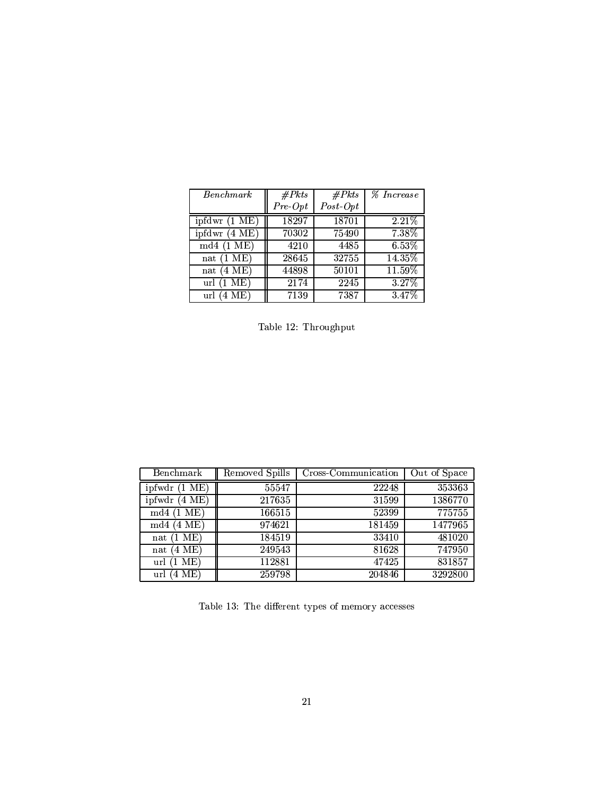| Benchmark                         | #Pkts     | #Pkts             | <i>% Increase</i> |
|-----------------------------------|-----------|-------------------|-------------------|
|                                   | $Pre-Opt$ | $Post\text{-}Opt$ |                   |
| ipfdwr(1 ME)                      | 18297     | 18701             | 2.21%             |
| $\overline{\text{ipfdwr}}$ (4 ME) | 70302     | 75490             | 7.38%             |
| $md4(1 \text{ ME})$               | 4210      | 4485              | 6.53%             |
| nat $(1 \text{ ME})$              | 28645     | 32755             | 14.35%            |
| nat $(4 \text{ ME})$              | 44898     | 50101             | 11.59%            |
| $(1~\mathrm{ME})$<br>url          | 2174      | 2245              | 3.27%             |
| 4 ME)<br>url                      | 7139      | 7387              | 3.47%             |

Table 12: Throughput

| Benchmark                | Removed Spills | Cross-Communication | Out of Space |
|--------------------------|----------------|---------------------|--------------|
| ME)<br>ipfwdr            | 55547          | 22248               | 353363       |
| ipfwdr<br>'4 ME)         | 217635         | 31599               | 1386770      |
| [1 ME]<br>md4            | 166515         | 52399               | 775755       |
| '4 ME)<br>md4            | 974621         | 181459              | 1477965      |
| ME)<br>nat               | 184519         | 33410               | 481020       |
| ME)<br>4<br>$_{\rm nat}$ | 249543         | 81628               | 747950       |
| ME)<br>url               | 112881         | 47425               | 831857       |
| ME)<br>url<br>4          | 259798         | 204846              | 3292800      |

Table 13: The different types of memory accesses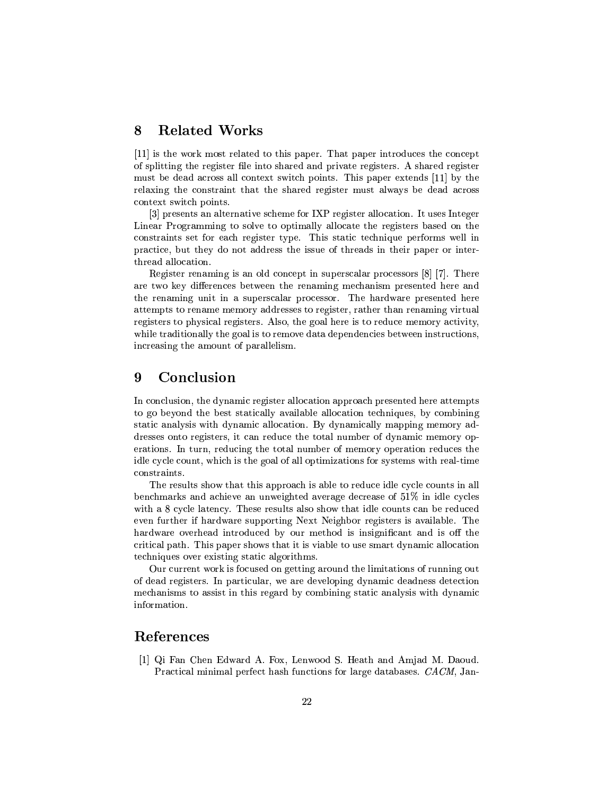#### **Related Works** 8

[11] is the work most related to this paper. That paper introduces the concept of splitting the register file into shared and private registers. A shared register must be dead across all context switch points. This paper extends [11] by the relaxing the constraint that the shared register must always be dead across context switch points.

[3] presents an alternative scheme for IXP register allocation. It uses Integer Linear Programming to solve to optimally allocate the registers based on the constraints set for each register type. This static technique performs well in practice, but they do not address the issue of threads in their paper or interthread allocation.

Register renaming is an old concept in superscalar processors  $[8]$  [7]. There are two key differences between the renaming mechanism presented here and the renaming unit in a superscalar processor. The hardware presented here attempts to rename memory addresses to register, rather than renaming virtual registers to physical registers. Also, the goal here is to reduce memory activity, while traditionally the goal is to remove data dependencies between instructions, increasing the amount of parallelism.

### 9 Conclusion

In conclusion, the dynamic register allocation approach presented here attempts to go beyond the best statically available allocation techniques, by combining static analysis with dynamic allocation. By dynamically mapping memory addresses onto registers, it can reduce the total number of dynamic memory operations. In turn, reducing the total number of memory operation reduces the idle cycle count, which is the goal of all optimizations for systems with real-time constraints.

The results show that this approach is able to reduce idle cycle counts in all benchmarks and achieve an unweighted average decrease of 51% in idle cycles with a 8 cycle latency. These results also show that idle counts can be reduced even further if hardware supporting Next Neighbor registers is available. The hardware overhead introduced by our method is insignificant and is off the critical path. This paper shows that it is viable to use smart dynamic allocation techniques over existing static algorithms.

Our current work is focused on getting around the limitations of running out of dead registers. In particular, we are developing dynamic deadness detection mechanisms to assist in this regard by combining static analysis with dynamic information.

# References

[1] Qi Fan Chen Edward A. Fox, Lenwood S. Heath and Amjad M. Daoud. Practical minimal perfect hash functions for large databases. CACM, Jan